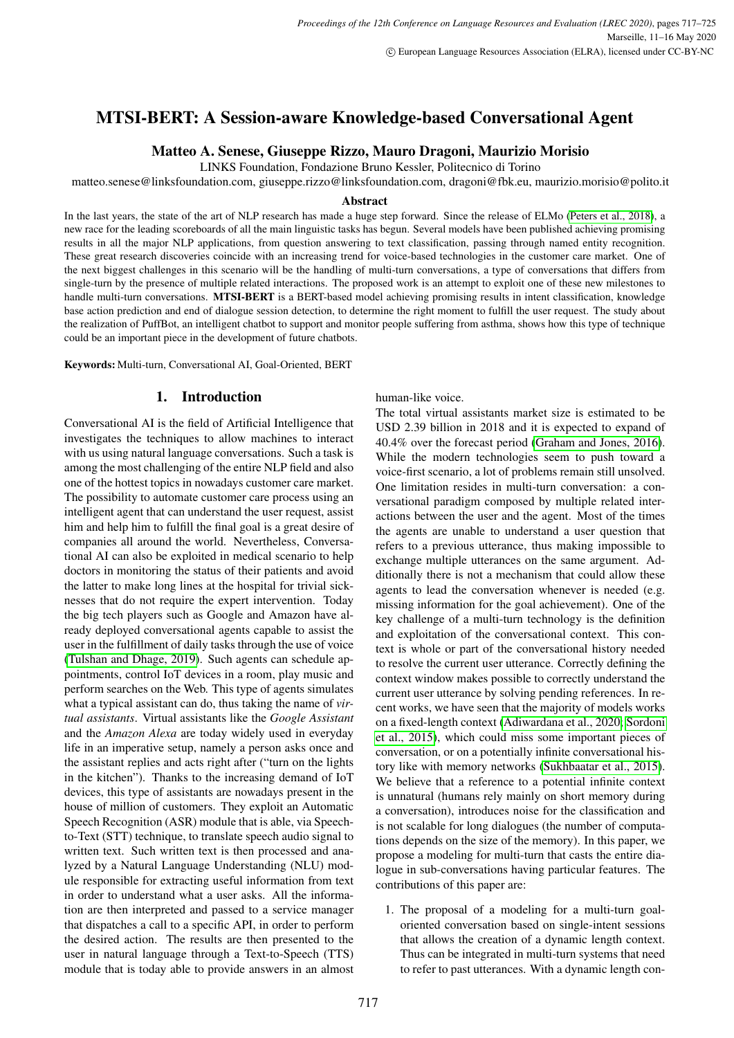# MTSI-BERT: A Session-aware Knowledge-based Conversational Agent

# Matteo A. Senese, Giuseppe Rizzo, Mauro Dragoni, Maurizio Morisio

LINKS Foundation, Fondazione Bruno Kessler, Politecnico di Torino

matteo.senese@linksfoundation.com, giuseppe.rizzo@linksfoundation.com, dragoni@fbk.eu, maurizio.morisio@polito.it

#### Abstract

In the last years, the state of the art of NLP research has made a huge step forward. Since the release of ELMo [\(Peters et al., 2018\)](#page-8-0), a new race for the leading scoreboards of all the main linguistic tasks has begun. Several models have been published achieving promising results in all the major NLP applications, from question answering to text classification, passing through named entity recognition. These great research discoveries coincide with an increasing trend for voice-based technologies in the customer care market. One of the next biggest challenges in this scenario will be the handling of multi-turn conversations, a type of conversations that differs from single-turn by the presence of multiple related interactions. The proposed work is an attempt to exploit one of these new milestones to handle multi-turn conversations. MTSI-BERT is a BERT-based model achieving promising results in intent classification, knowledge base action prediction and end of dialogue session detection, to determine the right moment to fulfill the user request. The study about the realization of PuffBot, an intelligent chatbot to support and monitor people suffering from asthma, shows how this type of technique could be an important piece in the development of future chatbots.

Keywords: Multi-turn, Conversational AI, Goal-Oriented, BERT

# 1. Introduction

Conversational AI is the field of Artificial Intelligence that investigates the techniques to allow machines to interact with us using natural language conversations. Such a task is among the most challenging of the entire NLP field and also one of the hottest topics in nowadays customer care market. The possibility to automate customer care process using an intelligent agent that can understand the user request, assist him and help him to fulfill the final goal is a great desire of companies all around the world. Nevertheless, Conversational AI can also be exploited in medical scenario to help doctors in monitoring the status of their patients and avoid the latter to make long lines at the hospital for trivial sicknesses that do not require the expert intervention. Today the big tech players such as Google and Amazon have already deployed conversational agents capable to assist the user in the fulfillment of daily tasks through the use of voice [\(Tulshan and Dhage, 2019\)](#page-8-1). Such agents can schedule appointments, control IoT devices in a room, play music and perform searches on the Web. This type of agents simulates what a typical assistant can do, thus taking the name of *virtual assistants*. Virtual assistants like the *Google Assistant* and the *Amazon Alexa* are today widely used in everyday life in an imperative setup, namely a person asks once and the assistant replies and acts right after ("turn on the lights in the kitchen"). Thanks to the increasing demand of IoT devices, this type of assistants are nowadays present in the house of million of customers. They exploit an Automatic Speech Recognition (ASR) module that is able, via Speechto-Text (STT) technique, to translate speech audio signal to written text. Such written text is then processed and analyzed by a Natural Language Understanding (NLU) module responsible for extracting useful information from text in order to understand what a user asks. All the information are then interpreted and passed to a service manager that dispatches a call to a specific API, in order to perform the desired action. The results are then presented to the user in natural language through a Text-to-Speech (TTS) module that is today able to provide answers in an almost human-like voice.

The total virtual assistants market size is estimated to be USD 2.39 billion in 2018 and it is expected to expand of 40.4% over the forecast period [\(Graham and Jones, 2016\)](#page-8-2). While the modern technologies seem to push toward a voice-first scenario, a lot of problems remain still unsolved. One limitation resides in multi-turn conversation: a conversational paradigm composed by multiple related interactions between the user and the agent. Most of the times the agents are unable to understand a user question that refers to a previous utterance, thus making impossible to exchange multiple utterances on the same argument. Additionally there is not a mechanism that could allow these agents to lead the conversation whenever is needed (e.g. missing information for the goal achievement). One of the key challenge of a multi-turn technology is the definition and exploitation of the conversational context. This context is whole or part of the conversational history needed to resolve the current user utterance. Correctly defining the context window makes possible to correctly understand the current user utterance by solving pending references. In recent works, we have seen that the majority of models works on a fixed-length context [\(Adiwardana et al., 2020;](#page-8-3) [Sordoni](#page-8-4) [et al., 2015\)](#page-8-4), which could miss some important pieces of conversation, or on a potentially infinite conversational history like with memory networks [\(Sukhbaatar et al., 2015\)](#page-8-5). We believe that a reference to a potential infinite context is unnatural (humans rely mainly on short memory during a conversation), introduces noise for the classification and is not scalable for long dialogues (the number of computations depends on the size of the memory). In this paper, we propose a modeling for multi-turn that casts the entire dialogue in sub-conversations having particular features. The contributions of this paper are:

1. The proposal of a modeling for a multi-turn goaloriented conversation based on single-intent sessions that allows the creation of a dynamic length context. Thus can be integrated in multi-turn systems that need to refer to past utterances. With a dynamic length con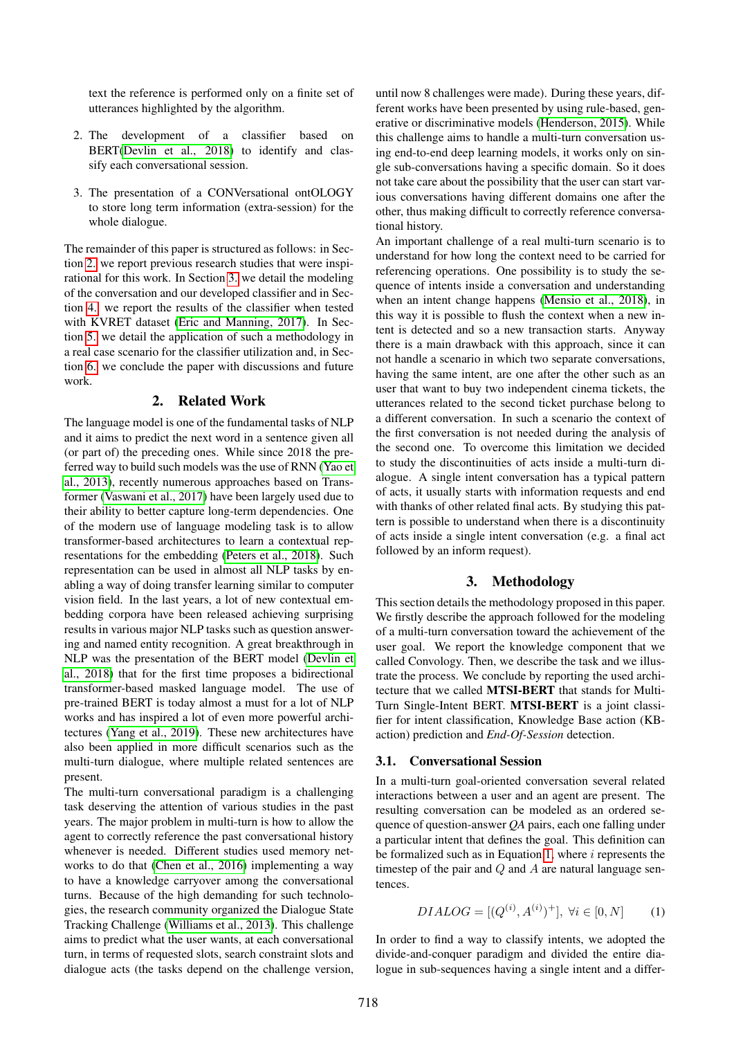text the reference is performed only on a finite set of utterances highlighted by the algorithm.

- 2. The development of a classifier based on BERT[\(Devlin et al., 2018\)](#page-8-6) to identify and classify each conversational session.
- 3. The presentation of a CONVersational ontOLOGY to store long term information (extra-session) for the whole dialogue.

The remainder of this paper is structured as follows: in Section [2.](#page-1-0) we report previous research studies that were inspirational for this work. In Section [3.](#page-1-1) we detail the modeling of the conversation and our developed classifier and in Section [4.](#page-3-0) we report the results of the classifier when tested with KVRET dataset [\(Eric and Manning, 2017\)](#page-8-7). In Section [5.](#page-6-0) we detail the application of such a methodology in a real case scenario for the classifier utilization and, in Section [6.](#page-7-0) we conclude the paper with discussions and future work.

#### 2. Related Work

<span id="page-1-0"></span>The language model is one of the fundamental tasks of NLP and it aims to predict the next word in a sentence given all (or part of) the preceding ones. While since 2018 the preferred way to build such models was the use of RNN [\(Yao et](#page-8-8) [al., 2013\)](#page-8-8), recently numerous approaches based on Transformer [\(Vaswani et al., 2017\)](#page-8-9) have been largely used due to their ability to better capture long-term dependencies. One of the modern use of language modeling task is to allow transformer-based architectures to learn a contextual representations for the embedding [\(Peters et al., 2018\)](#page-8-0). Such representation can be used in almost all NLP tasks by enabling a way of doing transfer learning similar to computer vision field. In the last years, a lot of new contextual embedding corpora have been released achieving surprising results in various major NLP tasks such as question answering and named entity recognition. A great breakthrough in NLP was the presentation of the BERT model [\(Devlin et](#page-8-6) [al., 2018\)](#page-8-6) that for the first time proposes a bidirectional transformer-based masked language model. The use of pre-trained BERT is today almost a must for a lot of NLP works and has inspired a lot of even more powerful architectures [\(Yang et al., 2019\)](#page-8-10). These new architectures have also been applied in more difficult scenarios such as the multi-turn dialogue, where multiple related sentences are present.

The multi-turn conversational paradigm is a challenging task deserving the attention of various studies in the past years. The major problem in multi-turn is how to allow the agent to correctly reference the past conversational history whenever is needed. Different studies used memory networks to do that [\(Chen et al., 2016\)](#page-8-11) implementing a way to have a knowledge carryover among the conversational turns. Because of the high demanding for such technologies, the research community organized the Dialogue State Tracking Challenge [\(Williams et al., 2013\)](#page-8-12). This challenge aims to predict what the user wants, at each conversational turn, in terms of requested slots, search constraint slots and dialogue acts (the tasks depend on the challenge version,

until now 8 challenges were made). During these years, different works have been presented by using rule-based, generative or discriminative models [\(Henderson, 2015\)](#page-8-13). While this challenge aims to handle a multi-turn conversation using end-to-end deep learning models, it works only on single sub-conversations having a specific domain. So it does not take care about the possibility that the user can start various conversations having different domains one after the other, thus making difficult to correctly reference conversational history.

An important challenge of a real multi-turn scenario is to understand for how long the context need to be carried for referencing operations. One possibility is to study the sequence of intents inside a conversation and understanding when an intent change happens [\(Mensio et al., 2018\)](#page-8-14), in this way it is possible to flush the context when a new intent is detected and so a new transaction starts. Anyway there is a main drawback with this approach, since it can not handle a scenario in which two separate conversations, having the same intent, are one after the other such as an user that want to buy two independent cinema tickets, the utterances related to the second ticket purchase belong to a different conversation. In such a scenario the context of the first conversation is not needed during the analysis of the second one. To overcome this limitation we decided to study the discontinuities of acts inside a multi-turn dialogue. A single intent conversation has a typical pattern of acts, it usually starts with information requests and end with thanks of other related final acts. By studying this pattern is possible to understand when there is a discontinuity of acts inside a single intent conversation (e.g. a final act followed by an inform request).

## 3. Methodology

<span id="page-1-1"></span>This section details the methodology proposed in this paper. We firstly describe the approach followed for the modeling of a multi-turn conversation toward the achievement of the user goal. We report the knowledge component that we called Convology. Then, we describe the task and we illustrate the process. We conclude by reporting the used architecture that we called MTSI-BERT that stands for Multi-Turn Single-Intent BERT. MTSI-BERT is a joint classifier for intent classification, Knowledge Base action (KBaction) prediction and *End-Of-Session* detection.

#### <span id="page-1-3"></span>3.1. Conversational Session

In a multi-turn goal-oriented conversation several related interactions between a user and an agent are present. The resulting conversation can be modeled as an ordered sequence of question-answer *QA* pairs, each one falling under a particular intent that defines the goal. This definition can be formalized such as in Equation [1,](#page-1-2) where  $i$  represents the timestep of the pair and  $Q$  and  $A$  are natural language sentences.

<span id="page-1-2"></span>
$$
DIALOG = [(Q^{(i)}, A^{(i)})^{+}], \forall i \in [0, N] \tag{1}
$$

In order to find a way to classify intents, we adopted the divide-and-conquer paradigm and divided the entire dialogue in sub-sequences having a single intent and a differ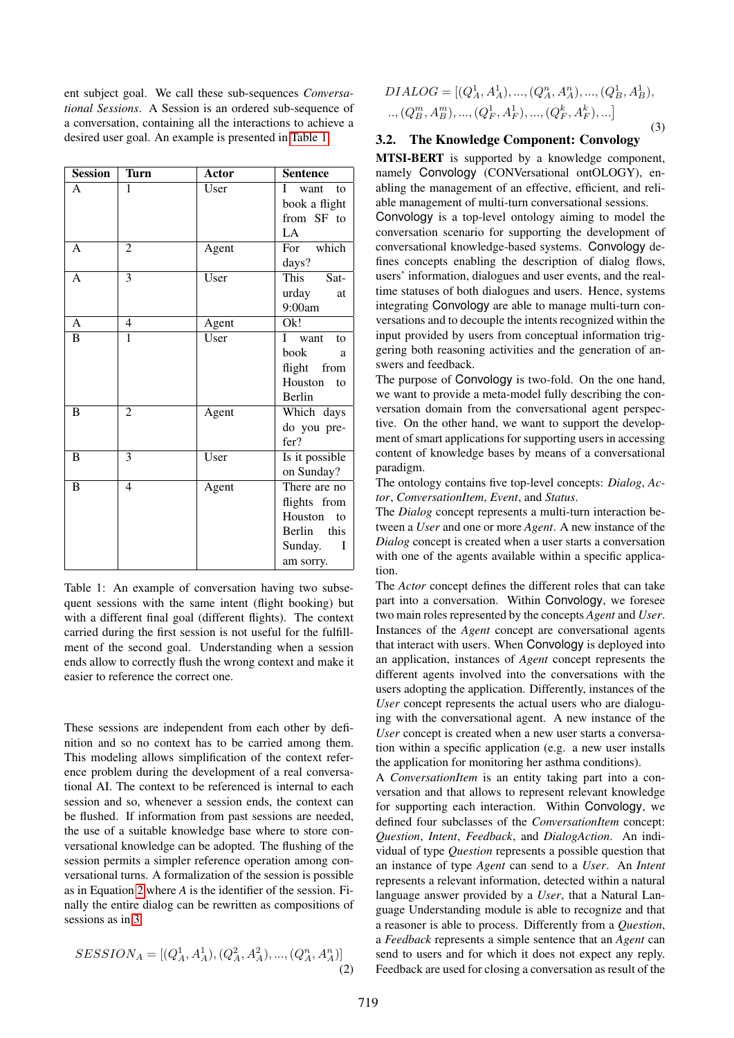ent subject goal. We call these sub-sequences *Conversational Sessions*. A Session is an ordered sub-sequence of a conversation, containing all the interactions to achieve a desired user goal. An example is presented in [Table 1.](#page-2-0)

<span id="page-2-0"></span>

| <b>Session</b> | <b>Turn</b>    | Actor | <b>Sentence</b>                                                                        |
|----------------|----------------|-------|----------------------------------------------------------------------------------------|
| A              | 1              | User  | I<br>want to<br>book a flight<br>from SF to<br>LA                                      |
| A              | $\mathfrak{D}$ | Agent | For which<br>days?                                                                     |
| A              | 3              | User  | This<br>Sat-<br>urday<br>at<br>9:00am                                                  |
| A              | $\overline{4}$ | Agent | Ok!                                                                                    |
| B              | 1              | User  | L<br>want<br>to<br>book<br>a<br>flight from<br>Houston<br>to<br>Berlin                 |
| B              | $\overline{2}$ | Agent | Which days<br>do you pre-<br>fer?                                                      |
| B              | 3              | User  | Is it possible<br>on Sunday?                                                           |
| B              | $\overline{4}$ | Agent | There are no<br>flights from<br>Houston to<br>Berlin this<br>Sunday.<br>I<br>am sorry. |

Table 1: An example of conversation having two subsequent sessions with the same intent (flight booking) but with a different final goal (different flights). The context carried during the first session is not useful for the fulfillment of the second goal. Understanding when a session ends allow to correctly flush the wrong context and make it easier to reference the correct one.

These sessions are independent from each other by definition and so no context has to be carried among them. This modeling allows simplification of the context reference problem during the development of a real conversational AI. The context to be referenced is internal to each session and so, whenever a session ends, the context can be flushed. If information from past sessions are needed, the use of a suitable knowledge base where to store conversational knowledge can be adopted. The flushing of the session permits a simpler reference operation among conversational turns. A formalization of the session is possible as in Equation [2](#page-2-1) where *A* is the identifier of the session. Finally the entire dialog can be rewritten as compositions of sessions as in [3.](#page-2-2)

<span id="page-2-1"></span>
$$
SESSION_A = [(Q_A^1, A_A^1), (Q_A^2, A_A^2), ..., (Q_A^n, A_A^n)]
$$
\n(2)

<span id="page-2-2"></span>
$$
DIALOG = [(Q_A^1, A_A^1), ..., (Q_A^n, A_A^n), ..., (Q_B^1, A_B^1),
$$
  
 
$$
..., (Q_B^m, A_B^m), ..., (Q_F^1, A_F^1), ..., (Q_F^k, A_F^k), ...]
$$
  
(3)

## 3.2. The Knowledge Component: Convology

MTSI-BERT is supported by a knowledge component, namely Convology (CONVersational ontOLOGY), enabling the management of an effective, efficient, and reliable management of multi-turn conversational sessions.

Convology is a top-level ontology aiming to model the conversation scenario for supporting the development of conversational knowledge-based systems. Convology defines concepts enabling the description of dialog flows, users' information, dialogues and user events, and the realtime statuses of both dialogues and users. Hence, systems integrating Convology are able to manage multi-turn conversations and to decouple the intents recognized within the input provided by users from conceptual information triggering both reasoning activities and the generation of answers and feedback.

The purpose of Convology is two-fold. On the one hand, we want to provide a meta-model fully describing the conversation domain from the conversational agent perspective. On the other hand, we want to support the development of smart applications for supporting users in accessing content of knowledge bases by means of a conversational paradigm.

The ontology contains five top-level concepts: *Dialog*, *Actor*, *ConversationItem*, *Event*, and *Status*.

The *Dialog* concept represents a multi-turn interaction between a *User* and one or more *Agent*. A new instance of the *Dialog* concept is created when a user starts a conversation with one of the agents available within a specific application.

The *Actor* concept defines the different roles that can take part into a conversation. Within Convology, we foresee two main roles represented by the concepts *Agent* and *User*. Instances of the *Agent* concept are conversational agents that interact with users. When Convology is deployed into an application, instances of *Agent* concept represents the different agents involved into the conversations with the users adopting the application. Differently, instances of the *User* concept represents the actual users who are dialoguing with the conversational agent. A new instance of the *User* concept is created when a new user starts a conversation within a specific application (e.g. a new user installs the application for monitoring her asthma conditions).

A *ConversationItem* is an entity taking part into a conversation and that allows to represent relevant knowledge for supporting each interaction. Within Convology, we defined four subclasses of the *ConversationItem* concept: *Question*, *Intent*, *Feedback*, and *DialogAction*. An individual of type *Question* represents a possible question that an instance of type *Agent* can send to a *User*. An *Intent* represents a relevant information, detected within a natural language answer provided by a *User*, that a Natural Language Understanding module is able to recognize and that a reasoner is able to process. Differently from a *Question*, a *Feedback* represents a simple sentence that an *Agent* can send to users and for which it does not expect any reply. Feedback are used for closing a conversation as result of the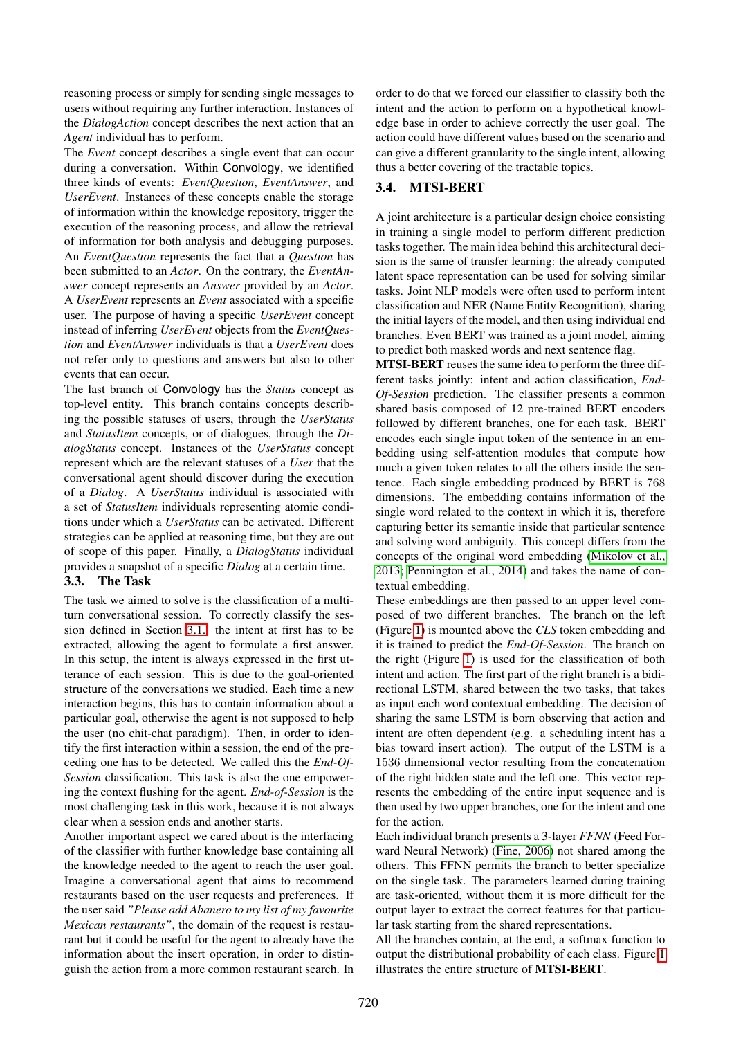reasoning process or simply for sending single messages to users without requiring any further interaction. Instances of the *DialogAction* concept describes the next action that an *Agent* individual has to perform.

The *Event* concept describes a single event that can occur during a conversation. Within Convology, we identified three kinds of events: *EventQuestion*, *EventAnswer*, and *UserEvent*. Instances of these concepts enable the storage of information within the knowledge repository, trigger the execution of the reasoning process, and allow the retrieval of information for both analysis and debugging purposes. An *EventQuestion* represents the fact that a *Question* has been submitted to an *Actor*. On the contrary, the *EventAnswer* concept represents an *Answer* provided by an *Actor*. A *UserEvent* represents an *Event* associated with a specific user. The purpose of having a specific *UserEvent* concept instead of inferring *UserEvent* objects from the *EventQuestion* and *EventAnswer* individuals is that a *UserEvent* does not refer only to questions and answers but also to other events that can occur.

The last branch of Convology has the *Status* concept as top-level entity. This branch contains concepts describing the possible statuses of users, through the *UserStatus* and *StatusItem* concepts, or of dialogues, through the *DialogStatus* concept. Instances of the *UserStatus* concept represent which are the relevant statuses of a *User* that the conversational agent should discover during the execution of a *Dialog*. A *UserStatus* individual is associated with a set of *StatusItem* individuals representing atomic conditions under which a *UserStatus* can be activated. Different strategies can be applied at reasoning time, but they are out of scope of this paper. Finally, a *DialogStatus* individual provides a snapshot of a specific *Dialog* at a certain time. 3.3. The Task

The task we aimed to solve is the classification of a multiturn conversational session. To correctly classify the session defined in Section [3.1.](#page-1-3) the intent at first has to be extracted, allowing the agent to formulate a first answer. In this setup, the intent is always expressed in the first utterance of each session. This is due to the goal-oriented structure of the conversations we studied. Each time a new interaction begins, this has to contain information about a particular goal, otherwise the agent is not supposed to help the user (no chit-chat paradigm). Then, in order to identify the first interaction within a session, the end of the preceding one has to be detected. We called this the *End-Of-Session* classification. This task is also the one empowering the context flushing for the agent. *End-of-Session* is the most challenging task in this work, because it is not always clear when a session ends and another starts.

Another important aspect we cared about is the interfacing of the classifier with further knowledge base containing all the knowledge needed to the agent to reach the user goal. Imagine a conversational agent that aims to recommend restaurants based on the user requests and preferences. If the user said *"Please add Abanero to my list of my favourite Mexican restaurants"*, the domain of the request is restaurant but it could be useful for the agent to already have the information about the insert operation, in order to distinguish the action from a more common restaurant search. In order to do that we forced our classifier to classify both the intent and the action to perform on a hypothetical knowledge base in order to achieve correctly the user goal. The action could have different values based on the scenario and can give a different granularity to the single intent, allowing thus a better covering of the tractable topics.

# 3.4. MTSI-BERT

A joint architecture is a particular design choice consisting in training a single model to perform different prediction tasks together. The main idea behind this architectural decision is the same of transfer learning: the already computed latent space representation can be used for solving similar tasks. Joint NLP models were often used to perform intent classification and NER (Name Entity Recognition), sharing the initial layers of the model, and then using individual end branches. Even BERT was trained as a joint model, aiming to predict both masked words and next sentence flag.

MTSI-BERT reuses the same idea to perform the three different tasks jointly: intent and action classification, *End-Of-Session* prediction. The classifier presents a common shared basis composed of 12 pre-trained BERT encoders followed by different branches, one for each task. BERT encodes each single input token of the sentence in an embedding using self-attention modules that compute how much a given token relates to all the others inside the sentence. Each single embedding produced by BERT is 768 dimensions. The embedding contains information of the single word related to the context in which it is, therefore capturing better its semantic inside that particular sentence and solving word ambiguity. This concept differs from the concepts of the original word embedding [\(Mikolov et al.,](#page-8-15) [2013;](#page-8-15) [Pennington et al., 2014\)](#page-8-16) and takes the name of contextual embedding.

These embeddings are then passed to an upper level composed of two different branches. The branch on the left (Figure [1\)](#page-4-0) is mounted above the *CLS* token embedding and it is trained to predict the *End-Of-Session*. The branch on the right (Figure [1\)](#page-4-0) is used for the classification of both intent and action. The first part of the right branch is a bidirectional LSTM, shared between the two tasks, that takes as input each word contextual embedding. The decision of sharing the same LSTM is born observing that action and intent are often dependent (e.g. a scheduling intent has a bias toward insert action). The output of the LSTM is a 1536 dimensional vector resulting from the concatenation of the right hidden state and the left one. This vector represents the embedding of the entire input sequence and is then used by two upper branches, one for the intent and one for the action.

Each individual branch presents a 3-layer *FFNN* (Feed Forward Neural Network) [\(Fine, 2006\)](#page-8-17) not shared among the others. This FFNN permits the branch to better specialize on the single task. The parameters learned during training are task-oriented, without them it is more difficult for the output layer to extract the correct features for that particular task starting from the shared representations.

<span id="page-3-0"></span>All the branches contain, at the end, a softmax function to output the distributional probability of each class. Figure [1](#page-4-0) illustrates the entire structure of MTSI-BERT.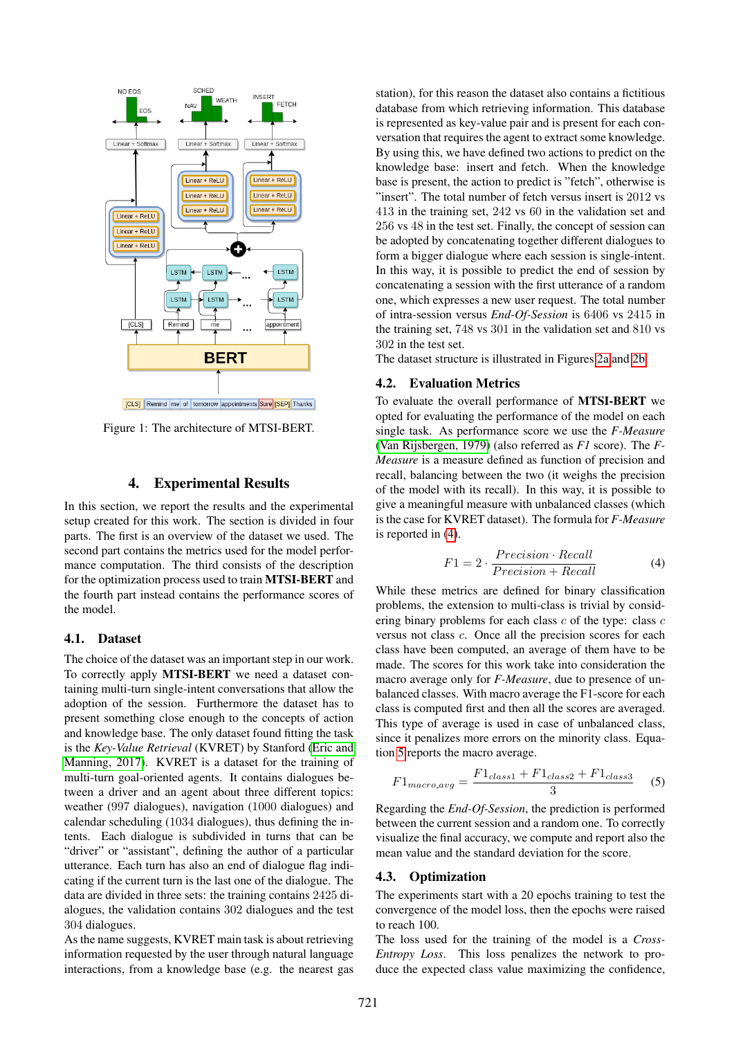<span id="page-4-0"></span>

Figure 1: The architecture of MTSI-BERT.

## 4. Experimental Results

In this section, we report the results and the experimental setup created for this work. The section is divided in four parts. The first is an overview of the dataset we used. The second part contains the metrics used for the model performance computation. The third consists of the description for the optimization process used to train MTSI-BERT and the fourth part instead contains the performance scores of the model.

#### 4.1. Dataset

The choice of the dataset was an important step in our work. To correctly apply MTSI-BERT we need a dataset containing multi-turn single-intent conversations that allow the adoption of the session. Furthermore the dataset has to present something close enough to the concepts of action and knowledge base. The only dataset found fitting the task is the *Key-Value Retrieval* (KVRET) by Stanford [\(Eric and](#page-8-7) [Manning, 2017\)](#page-8-7). KVRET is a dataset for the training of multi-turn goal-oriented agents. It contains dialogues between a driver and an agent about three different topics: weather (997 dialogues), navigation (1000 dialogues) and calendar scheduling (1034 dialogues), thus defining the intents. Each dialogue is subdivided in turns that can be "driver" or "assistant", defining the author of a particular utterance. Each turn has also an end of dialogue flag indicating if the current turn is the last one of the dialogue. The data are divided in three sets: the training contains 2425 dialogues, the validation contains 302 dialogues and the test 304 dialogues.

As the name suggests, KVRET main task is about retrieving information requested by the user through natural language interactions, from a knowledge base (e.g. the nearest gas

station), for this reason the dataset also contains a fictitious database from which retrieving information. This database is represented as key-value pair and is present for each conversation that requires the agent to extract some knowledge. By using this, we have defined two actions to predict on the knowledge base: insert and fetch. When the knowledge base is present, the action to predict is "fetch", otherwise is "insert". The total number of fetch versus insert is 2012 vs 413 in the training set, 242 vs 60 in the validation set and 256 vs 48 in the test set. Finally, the concept of session can be adopted by concatenating together different dialogues to form a bigger dialogue where each session is single-intent. In this way, it is possible to predict the end of session by concatenating a session with the first utterance of a random one, which expresses a new user request. The total number of intra-session versus *End-Of-Session* is 6406 vs 2415 in the training set, 748 vs 301 in the validation set and 810 vs 302 in the test set.

The dataset structure is illustrated in Figures [2a](#page-5-0) and [2b.](#page-5-0)

#### 4.2. Evaluation Metrics

To evaluate the overall performance of MTSI-BERT we opted for evaluating the performance of the model on each single task. As performance score we use the *F-Measure* [\(Van Rijsbergen, 1979\)](#page-8-18) (also referred as *F1* score). The *F-Measure* is a measure defined as function of precision and recall, balancing between the two (it weighs the precision of the model with its recall). In this way, it is possible to give a meaningful measure with unbalanced classes (which is the case for KVRET dataset). The formula for *F-Measure* is reported in [\(4\)](#page-4-1).

<span id="page-4-1"></span>
$$
F1 = 2 \cdot \frac{Precision \cdot Recall}{Precision + Recall}
$$
 (4)

While these metrics are defined for binary classification problems, the extension to multi-class is trivial by considering binary problems for each class  $c$  of the type: class  $c$ versus not class c. Once all the precision scores for each class have been computed, an average of them have to be made. The scores for this work take into consideration the macro average only for *F-Measure*, due to presence of unbalanced classes. With macro average the F1-score for each class is computed first and then all the scores are averaged. This type of average is used in case of unbalanced class, since it penalizes more errors on the minority class. Equation [5](#page-4-2) reports the macro average.

<span id="page-4-2"></span>
$$
F1_{macro\_avg} = \frac{F1_{class1} + F1_{class2} + F1_{class3}}{3}
$$
 (5)

Regarding the *End-Of-Session*, the prediction is performed between the current session and a random one. To correctly visualize the final accuracy, we compute and report also the mean value and the standard deviation for the score.

#### 4.3. Optimization

The experiments start with a 20 epochs training to test the convergence of the model loss, then the epochs were raised to reach 100.

The loss used for the training of the model is a *Cross-Entropy Loss*. This loss penalizes the network to produce the expected class value maximizing the confidence,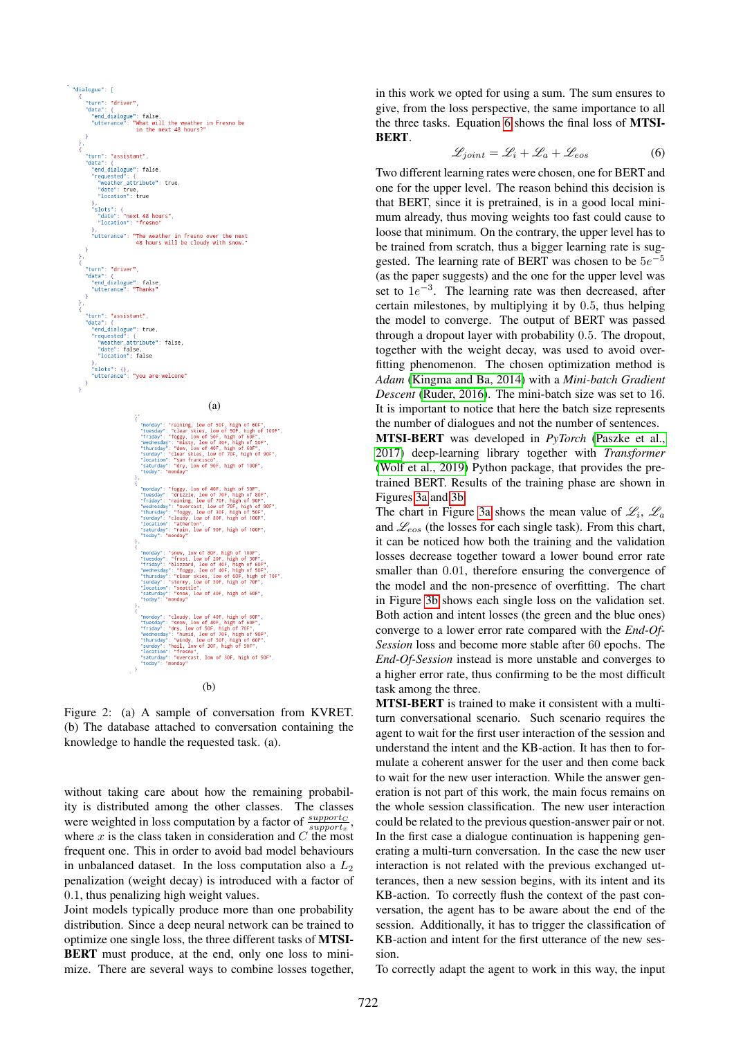<span id="page-5-0"></span>

Figure 2: (a) A sample of conversation from KVRET. (b) The database attached to conversation containing the knowledge to handle the requested task. (a).

without taking care about how the remaining probability is distributed among the other classes. The classes were weighted in loss computation by a factor of  $\frac{support_C}{support_x}$ , where  $x$  is the class taken in consideration and  $C$  the most frequent one. This in order to avoid bad model behaviours in unbalanced dataset. In the loss computation also a  $L_2$ penalization (weight decay) is introduced with a factor of 0.1, thus penalizing high weight values.

Joint models typically produce more than one probability distribution. Since a deep neural network can be trained to optimize one single loss, the three different tasks of MTSI-BERT must produce, at the end, only one loss to minimize. There are several ways to combine losses together,

in this work we opted for using a sum. The sum ensures to give, from the loss perspective, the same importance to all the three tasks. Equation [6](#page-5-1) shows the final loss of MTSI-BERT.

<span id="page-5-1"></span>
$$
\mathcal{L}_{joint} = \mathcal{L}_i + \mathcal{L}_a + \mathcal{L}_{eos} \tag{6}
$$

Two different learning rates were chosen, one for BERT and one for the upper level. The reason behind this decision is that BERT, since it is pretrained, is in a good local minimum already, thus moving weights too fast could cause to loose that minimum. On the contrary, the upper level has to be trained from scratch, thus a bigger learning rate is suggested. The learning rate of BERT was chosen to be  $5e^{-5}$ (as the paper suggests) and the one for the upper level was set to  $1e^{-3}$ . The learning rate was then decreased, after certain milestones, by multiplying it by 0.5, thus helping the model to converge. The output of BERT was passed through a dropout layer with probability 0.5. The dropout, together with the weight decay, was used to avoid overfitting phenomenon. The chosen optimization method is *Adam* [\(Kingma and Ba, 2014\)](#page-8-19) with a *Mini-batch Gradient Descent* [\(Ruder, 2016\)](#page-8-20). The mini-batch size was set to 16. It is important to notice that here the batch size represents the number of dialogues and not the number of sentences.

MTSI-BERT was developed in *PyTorch* [\(Paszke et al.,](#page-8-21) [2017\)](#page-8-21) deep-learning library together with *Transformer* [\(Wolf et al., 2019\)](#page-8-22) Python package, that provides the pretrained BERT. Results of the training phase are shown in Figures [3a](#page-6-1) and [3b.](#page-6-1)

The chart in Figure [3a](#page-6-1) shows the mean value of  $\mathcal{L}_i$ ,  $\mathcal{L}_a$ and  $\mathcal{L}_{eos}$  (the losses for each single task). From this chart, it can be noticed how both the training and the validation losses decrease together toward a lower bound error rate smaller than 0.01, therefore ensuring the convergence of the model and the non-presence of overfitting. The chart in Figure [3b](#page-6-1) shows each single loss on the validation set. Both action and intent losses (the green and the blue ones) converge to a lower error rate compared with the *End-Of-Session* loss and become more stable after 60 epochs. The *End-Of-Session* instead is more unstable and converges to a higher error rate, thus confirming to be the most difficult task among the three.

MTSI-BERT is trained to make it consistent with a multiturn conversational scenario. Such scenario requires the agent to wait for the first user interaction of the session and understand the intent and the KB-action. It has then to formulate a coherent answer for the user and then come back to wait for the new user interaction. While the answer generation is not part of this work, the main focus remains on the whole session classification. The new user interaction could be related to the previous question-answer pair or not. In the first case a dialogue continuation is happening generating a multi-turn conversation. In the case the new user interaction is not related with the previous exchanged utterances, then a new session begins, with its intent and its KB-action. To correctly flush the context of the past conversation, the agent has to be aware about the end of the session. Additionally, it has to trigger the classification of KB-action and intent for the first utterance of the new session.

To correctly adapt the agent to work in this way, the input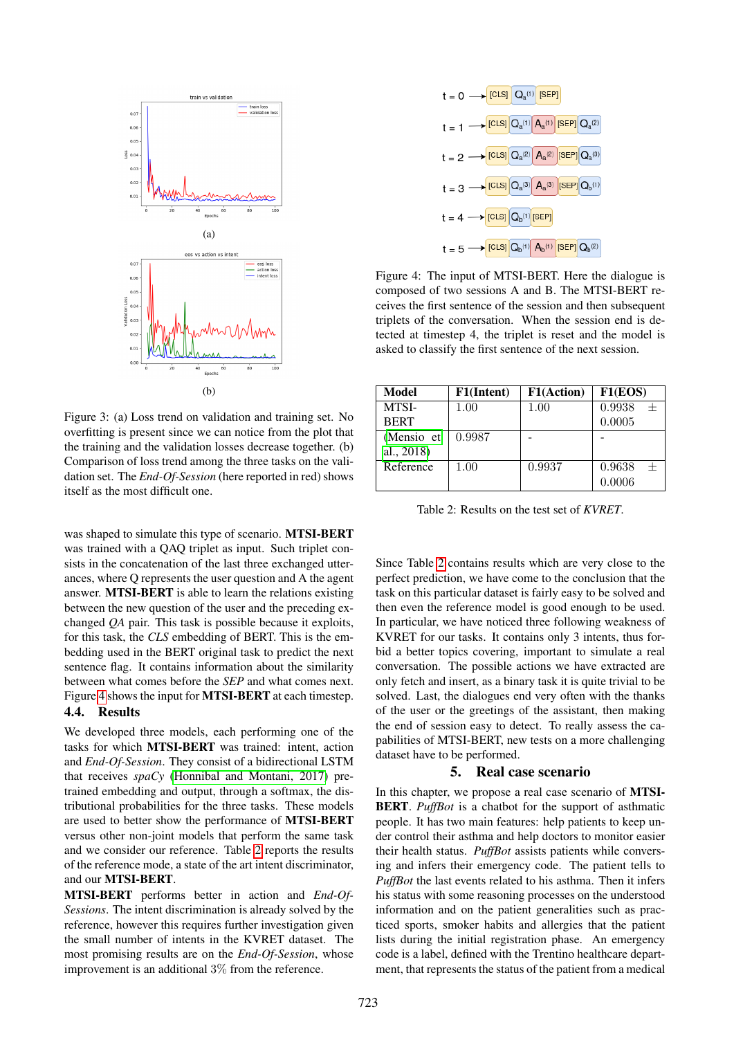<span id="page-6-1"></span>

Figure 3: (a) Loss trend on validation and training set. No overfitting is present since we can notice from the plot that the training and the validation losses decrease together. (b) Comparison of loss trend among the three tasks on the validation set. The *End-Of-Session* (here reported in red) shows itself as the most difficult one.

was shaped to simulate this type of scenario. MTSI-BERT was trained with a QAQ triplet as input. Such triplet consists in the concatenation of the last three exchanged utterances, where Q represents the user question and A the agent answer. MTSI-BERT is able to learn the relations existing between the new question of the user and the preceding exchanged *QA* pair. This task is possible because it exploits, for this task, the *CLS* embedding of BERT. This is the embedding used in the BERT original task to predict the next sentence flag. It contains information about the similarity between what comes before the *SEP* and what comes next. Figure [4](#page-6-2) shows the input for MTSI-BERT at each timestep. 4.4. Results

We developed three models, each performing one of the tasks for which MTSI-BERT was trained: intent, action and *End-Of-Session*. They consist of a bidirectional LSTM that receives *spaCy* [\(Honnibal and Montani, 2017\)](#page-8-23) pretrained embedding and output, through a softmax, the distributional probabilities for the three tasks. These models are used to better show the performance of MTSI-BERT versus other non-joint models that perform the same task and we consider our reference. Table [2](#page-6-3) reports the results of the reference mode, a state of the art intent discriminator, and our MTSI-BERT.

MTSI-BERT performs better in action and *End-Of-Sessions*. The intent discrimination is already solved by the reference, however this requires further investigation given the small number of intents in the KVRET dataset. The most promising results are on the *End-Of-Session*, whose improvement is an additional 3% from the reference.

<span id="page-6-2"></span>

Figure 4: The input of MTSI-BERT. Here the dialogue is composed of two sessions A and B. The MTSI-BERT receives the first sentence of the session and then subsequent triplets of the conversation. When the session end is detected at timestep 4, the triplet is reset and the model is asked to classify the first sentence of the next session.

<span id="page-6-3"></span>

| Model       | F1(Intent) | F1(Action) | F1(EOS) |
|-------------|------------|------------|---------|
| MTSI-       | 1.00       | 1.00       | 0.9938  |
| <b>BERT</b> |            |            | 0.0005  |
| (Mensio et  | 0.9987     |            |         |
| al., 2018)  |            |            |         |
| Reference   | 1.00       | 0.9937     | 0.9638  |
|             |            |            | 0.0006  |

Table 2: Results on the test set of *KVRET*.

Since Table [2](#page-6-3) contains results which are very close to the perfect prediction, we have come to the conclusion that the task on this particular dataset is fairly easy to be solved and then even the reference model is good enough to be used. In particular, we have noticed three following weakness of KVRET for our tasks. It contains only 3 intents, thus forbid a better topics covering, important to simulate a real conversation. The possible actions we have extracted are only fetch and insert, as a binary task it is quite trivial to be solved. Last, the dialogues end very often with the thanks of the user or the greetings of the assistant, then making the end of session easy to detect. To really assess the capabilities of MTSI-BERT, new tests on a more challenging dataset have to be performed.

#### 5. Real case scenario

<span id="page-6-0"></span>In this chapter, we propose a real case scenario of MTSI-BERT. *PuffBot* is a chatbot for the support of asthmatic people. It has two main features: help patients to keep under control their asthma and help doctors to monitor easier their health status. *PuffBot* assists patients while conversing and infers their emergency code. The patient tells to *PuffBot* the last events related to his asthma. Then it infers his status with some reasoning processes on the understood information and on the patient generalities such as practiced sports, smoker habits and allergies that the patient lists during the initial registration phase. An emergency code is a label, defined with the Trentino healthcare department, that represents the status of the patient from a medical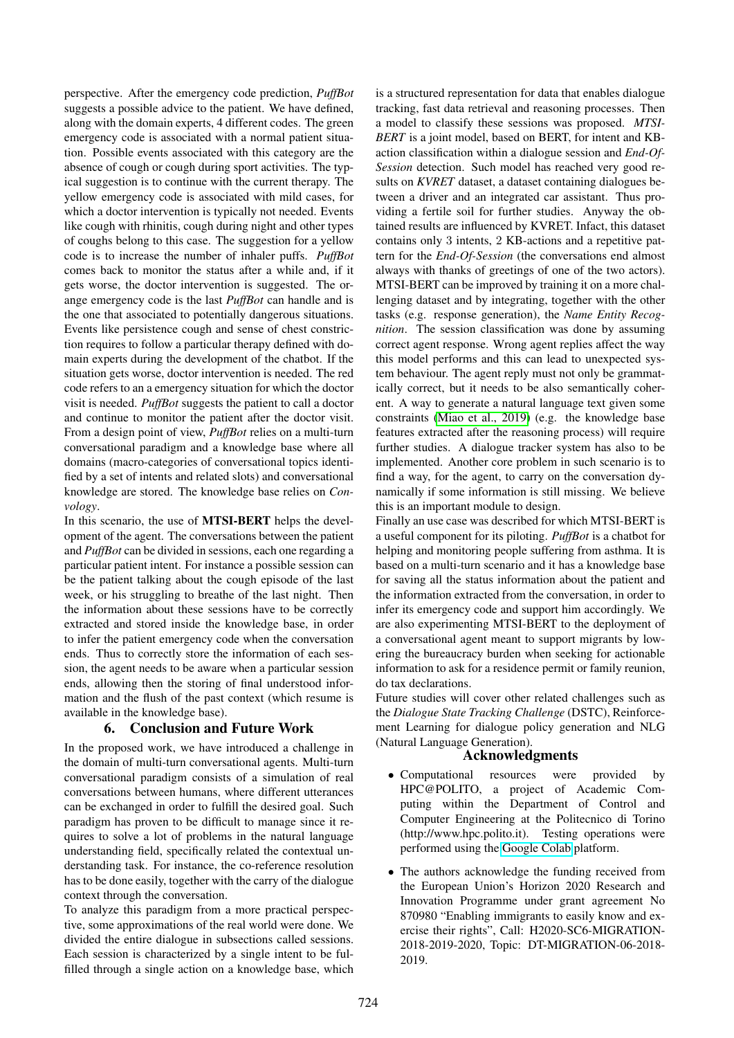perspective. After the emergency code prediction, *PuffBot* suggests a possible advice to the patient. We have defined, along with the domain experts, 4 different codes. The green emergency code is associated with a normal patient situation. Possible events associated with this category are the absence of cough or cough during sport activities. The typical suggestion is to continue with the current therapy. The yellow emergency code is associated with mild cases, for which a doctor intervention is typically not needed. Events like cough with rhinitis, cough during night and other types of coughs belong to this case. The suggestion for a yellow code is to increase the number of inhaler puffs. *PuffBot* comes back to monitor the status after a while and, if it gets worse, the doctor intervention is suggested. The orange emergency code is the last *PuffBot* can handle and is the one that associated to potentially dangerous situations. Events like persistence cough and sense of chest constriction requires to follow a particular therapy defined with domain experts during the development of the chatbot. If the situation gets worse, doctor intervention is needed. The red code refers to an a emergency situation for which the doctor visit is needed. *PuffBot* suggests the patient to call a doctor and continue to monitor the patient after the doctor visit. From a design point of view, *PuffBot* relies on a multi-turn conversational paradigm and a knowledge base where all domains (macro-categories of conversational topics identified by a set of intents and related slots) and conversational knowledge are stored. The knowledge base relies on *Convology*.

In this scenario, the use of MTSI-BERT helps the development of the agent. The conversations between the patient and *PuffBot* can be divided in sessions, each one regarding a particular patient intent. For instance a possible session can be the patient talking about the cough episode of the last week, or his struggling to breathe of the last night. Then the information about these sessions have to be correctly extracted and stored inside the knowledge base, in order to infer the patient emergency code when the conversation ends. Thus to correctly store the information of each session, the agent needs to be aware when a particular session ends, allowing then the storing of final understood information and the flush of the past context (which resume is available in the knowledge base).

## 6. Conclusion and Future Work

<span id="page-7-0"></span>In the proposed work, we have introduced a challenge in the domain of multi-turn conversational agents. Multi-turn conversational paradigm consists of a simulation of real conversations between humans, where different utterances can be exchanged in order to fulfill the desired goal. Such paradigm has proven to be difficult to manage since it requires to solve a lot of problems in the natural language understanding field, specifically related the contextual understanding task. For instance, the co-reference resolution has to be done easily, together with the carry of the dialogue context through the conversation.

To analyze this paradigm from a more practical perspective, some approximations of the real world were done. We divided the entire dialogue in subsections called sessions. Each session is characterized by a single intent to be fulfilled through a single action on a knowledge base, which is a structured representation for data that enables dialogue tracking, fast data retrieval and reasoning processes. Then a model to classify these sessions was proposed. *MTSI-BERT* is a joint model, based on BERT, for intent and KBaction classification within a dialogue session and *End-Of-Session* detection. Such model has reached very good results on *KVRET* dataset, a dataset containing dialogues between a driver and an integrated car assistant. Thus providing a fertile soil for further studies. Anyway the obtained results are influenced by KVRET. Infact, this dataset contains only 3 intents, 2 KB-actions and a repetitive pattern for the *End-Of-Session* (the conversations end almost always with thanks of greetings of one of the two actors). MTSI-BERT can be improved by training it on a more challenging dataset and by integrating, together with the other tasks (e.g. response generation), the *Name Entity Recognition*. The session classification was done by assuming correct agent response. Wrong agent replies affect the way this model performs and this can lead to unexpected system behaviour. The agent reply must not only be grammatically correct, but it needs to be also semantically coherent. A way to generate a natural language text given some constraints [\(Miao et al., 2019\)](#page-8-24) (e.g. the knowledge base features extracted after the reasoning process) will require further studies. A dialogue tracker system has also to be implemented. Another core problem in such scenario is to find a way, for the agent, to carry on the conversation dynamically if some information is still missing. We believe this is an important module to design.

Finally an use case was described for which MTSI-BERT is a useful component for its piloting. *PuffBot* is a chatbot for helping and monitoring people suffering from asthma. It is based on a multi-turn scenario and it has a knowledge base for saving all the status information about the patient and the information extracted from the conversation, in order to infer its emergency code and support him accordingly. We are also experimenting MTSI-BERT to the deployment of a conversational agent meant to support migrants by lowering the bureaucracy burden when seeking for actionable information to ask for a residence permit or family reunion, do tax declarations.

Future studies will cover other related challenges such as the *Dialogue State Tracking Challenge* (DSTC), Reinforcement Learning for dialogue policy generation and NLG (Natural Language Generation).

## Acknowledgments

- Computational resources were provided by HPC@POLITO, a project of Academic Computing within the Department of Control and Computer Engineering at the Politecnico di Torino (http://www.hpc.polito.it). Testing operations were performed using the [Google Colab](https://colab.research.google.com/) platform.
- The authors acknowledge the funding received from the European Union's Horizon 2020 Research and Innovation Programme under grant agreement No 870980 "Enabling immigrants to easily know and exercise their rights", Call: H2020-SC6-MIGRATION-2018-2019-2020, Topic: DT-MIGRATION-06-2018- 2019.